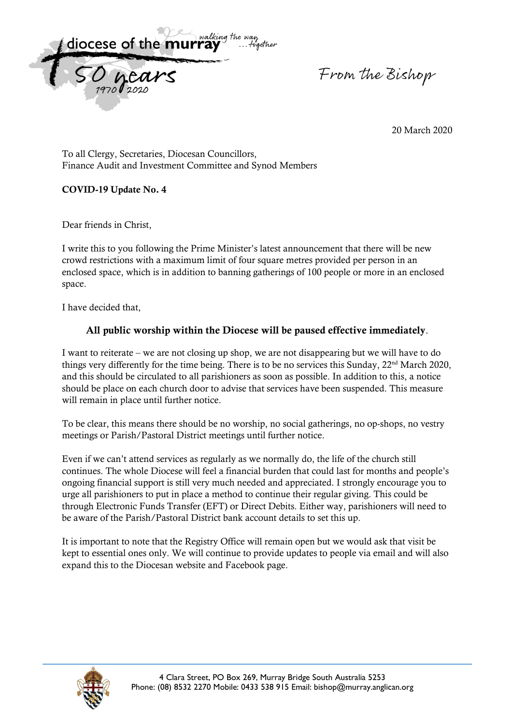

From the Bishop

20 March 2020

To all Clergy, Secretaries, Diocesan Councillors, Finance Audit and Investment Committee and Synod Members

## **COVID-19 Update No. 4**

Dear friends in Christ,

I write this to you following the Prime Minister's latest announcement that there will be new crowd restrictions with a maximum limit of four square metres provided per person in an enclosed space, which is in addition to banning gatherings of 100 people or more in an enclosed space.

I have decided that,

## **All public worship within the Diocese will be paused effective immediately**.

I want to reiterate – we are not closing up shop, we are not disappearing but we will have to do things very differently for the time being. There is to be no services this Sunday, 22<sup>nd</sup> March 2020, and this should be circulated to all parishioners as soon as possible. In addition to this, a notice should be place on each church door to advise that services have been suspended. This measure will remain in place until further notice.

To be clear, this means there should be no worship, no social gatherings, no op-shops, no vestry meetings or Parish/Pastoral District meetings until further notice.

Even if we can't attend services as regularly as we normally do, the life of the church still continues. The whole Diocese will feel a financial burden that could last for months and people's ongoing financial support is still very much needed and appreciated. I strongly encourage you to urge all parishioners to put in place a method to continue their regular giving. This could be through Electronic Funds Transfer (EFT) or Direct Debits. Either way, parishioners will need to be aware of the Parish/Pastoral District bank account details to set this up.

It is important to note that the Registry Office will remain open but we would ask that visit be kept to essential ones only. We will continue to provide updates to people via email and will also expand this to the Diocesan website and Facebook page.